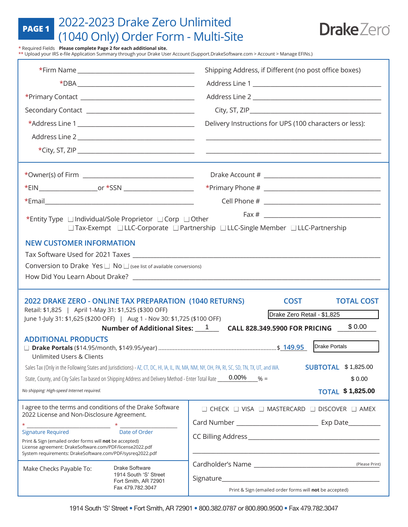## 2022-2023 Drake Zero Unlimited (1040 Only) Order Form - Multi-Site **PAGE 1**



\* Required Fields **Please complete Page 2 for each additional site.**

\*\* Upload your IRS e-file Application Summary through your Drake User Account (Support.DrakeSoftware.com > Account > Manage EFINs.)

|                                                                                                                                                                                                                                                                  |                                                                   | Shipping Address, if Different (no post office boxes)                                                                                                                      |  |
|------------------------------------------------------------------------------------------------------------------------------------------------------------------------------------------------------------------------------------------------------------------|-------------------------------------------------------------------|----------------------------------------------------------------------------------------------------------------------------------------------------------------------------|--|
|                                                                                                                                                                                                                                                                  | $*$ DBA $\_\_\_\_\_\_\_\_\_\_\_\_$                                |                                                                                                                                                                            |  |
|                                                                                                                                                                                                                                                                  |                                                                   |                                                                                                                                                                            |  |
|                                                                                                                                                                                                                                                                  |                                                                   |                                                                                                                                                                            |  |
|                                                                                                                                                                                                                                                                  |                                                                   | Delivery Instructions for UPS (100 characters or less):                                                                                                                    |  |
|                                                                                                                                                                                                                                                                  |                                                                   | the control of the control of the control of                                                                                                                               |  |
|                                                                                                                                                                                                                                                                  |                                                                   |                                                                                                                                                                            |  |
|                                                                                                                                                                                                                                                                  |                                                                   |                                                                                                                                                                            |  |
|                                                                                                                                                                                                                                                                  |                                                                   |                                                                                                                                                                            |  |
|                                                                                                                                                                                                                                                                  |                                                                   |                                                                                                                                                                            |  |
| *Entity Type Individual/Sole Proprietor ICorp IOther<br>□ Tax-Exempt □ LLC-Corporate □ Partnership □ LLC-Single Member □ LLC-Partnership                                                                                                                         |                                                                   |                                                                                                                                                                            |  |
| <b>NEW CUSTOMER INFORMATION</b>                                                                                                                                                                                                                                  |                                                                   |                                                                                                                                                                            |  |
|                                                                                                                                                                                                                                                                  |                                                                   |                                                                                                                                                                            |  |
| Conversion to Drake Yes $\Box$ No $\Box$ (see list of available conversions)                                                                                                                                                                                     |                                                                   |                                                                                                                                                                            |  |
| 2022 DRAKE ZERO - ONLINE TAX PREPARATION (1040 RETURNS)<br><b>COST</b><br><b>TOTAL COST</b><br>Retail: \$1,825   April 1-May 31: \$1,525 (\$300 OFF)<br>Drake Zero Retail - \$1,825<br>June 1-July 31: \$1,625 (\$200 OFF)   Aug 1 - Nov 30: \$1,725 (\$100 OFF) |                                                                   |                                                                                                                                                                            |  |
|                                                                                                                                                                                                                                                                  |                                                                   | \$0.00<br>Number of Additional Sites: 1 CALL 828.349.5900 FOR PRICING                                                                                                      |  |
| <b>ADDITIONAL PRODUCTS</b><br>Unlimited Users & Clients                                                                                                                                                                                                          |                                                                   | Drake Portals                                                                                                                                                              |  |
|                                                                                                                                                                                                                                                                  |                                                                   | <b>SUBTOTAL \$1,825.00</b><br>Sales Tax (Only in the Following States and Jurisdictions) - AZ, CT, DC, HI, IA, IL, IN, MA, NM, NY, OH, PA, RI, SC, SD, TN, TX, UT, and WA. |  |
| $0.00\%$<br>State, County, and City Sales Tax based on Shipping Address and Delivery Method - Enter Total Rate<br>$% =$<br>\$0.00                                                                                                                                |                                                                   |                                                                                                                                                                            |  |
| <b>TOTAL \$1,825.00</b><br>No shipping: High-speed Internet required.                                                                                                                                                                                            |                                                                   |                                                                                                                                                                            |  |
| I agree to the terms and conditions of the Drake Software<br>2022 License and Non-Disclosure Agreement.                                                                                                                                                          |                                                                   | $\Box$ CHECK $\Box$ VISA $\Box$ MASTERCARD $\Box$ DISCOVER $\Box$ AMEX                                                                                                     |  |
|                                                                                                                                                                                                                                                                  |                                                                   |                                                                                                                                                                            |  |
| Date of Order<br>Print & Sign (emailed order forms will not be accepted)<br>License agreement: DrakeSoftware.com/PDF/license2022.pdf<br>System requirements: DrakeSoftware.com/PDF/sysreq2022.pdf                                                                |                                                                   |                                                                                                                                                                            |  |
| Make Checks Payable To:                                                                                                                                                                                                                                          | Drake Software                                                    | (Please Print)                                                                                                                                                             |  |
|                                                                                                                                                                                                                                                                  | 1914 South 'S' Street<br>Fort Smith, AR 72901<br>Fax 479.782.3047 |                                                                                                                                                                            |  |
|                                                                                                                                                                                                                                                                  |                                                                   | Print & Sign (emailed order forms will not be accepted)                                                                                                                    |  |